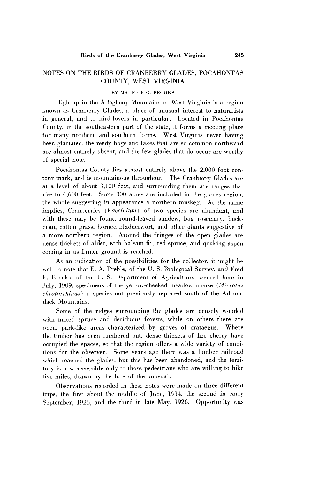## **NOTES ON THE BIRDS OF CRANBERRY GLADES, POCAHONTAS COUNTY, WEST VIRGINIA**

## **BY MAURICE G. BROOKS**

**High up in the Allegheny Mountains of West Virginia is a region known as Cranberry Glades, a place of unusual interest to naturalists in general, and to bird-lovers in particular. Located in Pocahontas County, in the southeastern part of the state, it forms a meeting place for many northern and southern forms. West Virginia never having been glaciated, the reedy bogs and lakes that are so common northward are almost entirely absent, and the few glades that do occur are worthy of special note.** 

**Pocahontas County lies almost entirely above the 2,000 foot contour mark, and is mountainous throughout. The Cranberry Glades are at a level of about 3,100 feet, and surrounding them are ranges that**  rise to 4,600 feet. Some 300 acres are included in the glades region, **the whole suggesting in appearance a northern muskeg. As the name implies, Cranberries (Vaccinium) of two species are abundant, and with these may be found round-leaved sundew, bog rosemary, buckbean, cotton grass, horned bladderwort, and other plants suggestive of a more northern region. Around the fringes of the open glades are dense thickets of alder, with balsam fir, red spruce, and quaking aspen coming in as firmer ground is reached.** 

**As an indication of the possibilities for the collector, it might be**  well to note that E. A. Preble, of the U. S. Biological Survey, and Fred **E. Brooks, of the 1:. S. Department of Agriculture, secured here in**  July, 1909, specimens of the yellow-cheeked meadow mouse (Microtus **chrotorrhinus) a species not previously reported south of the Adirondack Mountains.** 

Some of the ridges surrounding the glades are densely wooded **with mixed spruce snd deciduous forests, while on others there are open, park-like areas characterized by groves of crataegus. Where the timber has been lumbered out. dense thickets of fire cherry have occupied the spaces, so that the region offers a wide variety of conditions for the observer. Some years ago there was a lumber railroad which reached the glades. but this has been abandoned, and the territory is now accessible only to those pedestrians who are willing to hike five miles, drawn by the lure of the unusual.** 

**Observations recorded in these notes were made on three different trips, the first about the middle of June, 1914, the second in early September, 1925, and the third in late May, 1926. Opportunity was**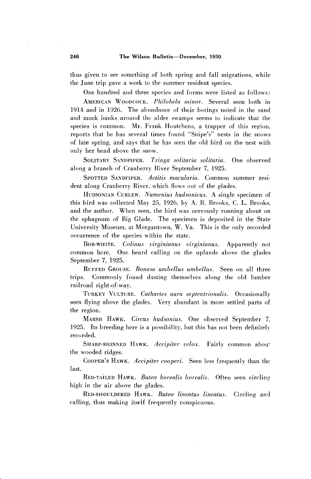**thus given to see something of both spring and fall migrations, while the June trip gave a week to the summer resident species.** 

**One hundred and three species and forms were listed as follows:** 

**AMERICAN WOUDCOCK. Philohela minor. Several seen both in 1914 and in 1926. The abundance of their borings noted in the sand and muck banks around the alder swamps seems to indicate that the species is common. Mr. Frank Houtchens, a trapper of this region,**  reports that he has several times found "Snipe's" nests in the snows **of late spring, and says that he has seen the old bird on the nest with only her head above the snow.** 

**SOLITARY SANDPIPER. Tringa solitaria solitaria. One observed along a branch of Cranberry River September 7, 1925.** 

SPOTTED SANDFIPER. Actitis macularia. Common summer resi**dent along Cranberry River, which flows out of the glades.** 

**HUDSONIAN CURLEW. Numenius hudsonicus. A single specimen of this bird was collected May 25, 1926, by A. B. Brooks, C. L. Brooks, and the author. When seen, the bird was nervously running about on the sphagnum of Big Glade. The specimen is deposited in the State University Museum, at Morgantown, W. Va. This is the only recorded occurrence of the species within the state.** 

**BOB-WHITE. Colinus virginianus virginianus. Apparently not common here. One heard calling on the uplands above the glades September 7, 1925.** 

**RUFFED GROUSE.** Bonasa umbellus umbellus. Seen on all three **trips. Commonly found dusting themselves along the old lumber railroad right-of-way.** 

**TURKEY VULTIYRE. Cathartes aura septentrionalis. Occasionally seen flying above the glades. Very abundant in more settled parts of the region.** 

**MARSH HAWK. Circus hudsonius. One observed September 7,**  1925. Its breeding here is a possibility, but this has not been definitely **recorded.** 

SHARP-SHINNED HAWK. Accipiter velox. Fairly common abou: **the wooded ridges.** 

**COOPER'S HAWK. Accipiter cooperi. Seen less frequently than the last.** 

**RED-TAILED HAWK. Buteo borealis borealis. Often seen circling high in the air above the glades.** 

**RED-SHOULDERED HAWK. Buteo lineatus lineatus. Circling and calling, thus making itself frequently conspicuous.**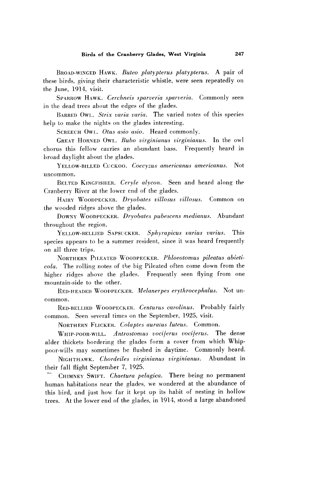**BROAD-WINGED HAWK. Buteo platypterus platypterus. A pair of these birds , giving their characteristic whistle, were seen repeatedly on the June, 1914, visit.** 

SPARROW HAWK. Cerchneis sparveria sparveria. Commonly seen **in the dead trees about the edges of the glades.** 

BARRED OWL. Strix varia varia. The varied notes of this species **help to make the nights on the glades interesting.** 

SCREECH OWL. Otus asio asio. Heard commonly.

**GREAT HORNED OWL. Buho virginiunus virginianus. In the owl chorus this fellow carries an abundant bass. Frequently heard in broad dayhght about the glades.** 

**YELLOW-BILLET) CUCKOO. Coccyzus americanus americanus. Not uncommon.** 

**BELTED KINGFISHER. Ceryle alycon. Seen and heard along the Cranberry River at the lower end of the glades.** 

**HAIRY WOODPECKER. Dryohates viLlosus villosus. Common on the wooded ridges above the glades.** 

**DOWNY WOODPECKER. Dryobates pubescens medianus. Abundant throughout the region.** 

YELLOW-BELLIED SAPSUCKER. Sphyrapicus varius varius. This **species appears to be a summer resident, since it was heard frequently on all three trips.** 

**NORTHERN PILEATED WOODPECKER. Phloeotomus pileatus abieticola. The rolling notes of the big Pileated often come down from the higher ridges above the glades. Frequently seen flying from one mountain-side to the other.** 

RED-HEADED WOODPECKER. Melanerpes erythrocephalus. Not un**common.** 

**BED-BELLIED WOODPECKER. Centurus carolinus. Probably fairly common. Seen several times on the September, 1925, visit.** 

**NORTHERN FLICKEK. Colaptes auraius luteus. Common.** 

**WHIP-POOR-WILL. Antrostomus vocijerus vocijerus. The dense alder thickets bordering the glades form a cover from which Whippoor-wills may sometimes be flushed in daytime. Commonly heard.** 

**NIGRTHAWK. Chordeiles virginianus virginianus. Abundant in their fall flight September 7, 1925.** 

**- CHIMNEY SWIFT. Chaetura pelagica. There being no permanent human habitations near the glades, we wondered at the abundance of this bird, and just how far it kept up its habit of nesting in hollow trees. At the lower end of the glades, in 1914, stood a large abandoned**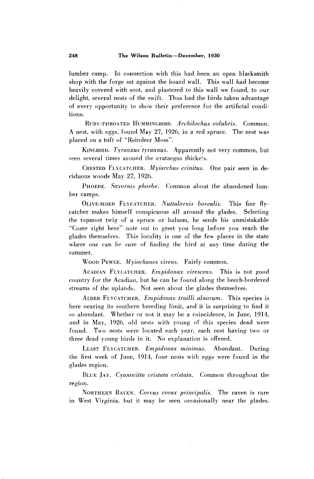**lumber camp. In connection with this had been an open blacksmith shop with the forge set against the board wall. This wall had become heavily covered with soot, and plastered to this wall we found, to our delight, several nests of the swift. Thus had the birds taken advantage of every opportunity to show their preference for the artificial conditions.** 

**RUBY-THRO~TED HUMMINGBIRD. Archilochus colubris. Common. 4 ' nest, with eggs, found May 27, 1926, in a red spruce. The nest was placed on a tuft of "Reindeer Moss".** 

KINGBIRD. Tyrannus tyrannus. Apparently not very common, but **seen several times around the crataegus thicke:s.** 

**CRESTED FLYC.ATCHER. Myiarchus crinitus. One pair seen in deciduous woods May 27, 1926.** 

PHOEBE. Sayornis phoebe. Common about the abandoned lum**ber camps.** 

**OLIVE-SIDED FLYCATCHER.** Nuttalornis borealis. This fine fly**catcher makes himself conspicuous all around the glades. Selecting the topmost twig of a spruce or balsam, he sends his unmistakable "Come right here" note out to greet you long before you reach the glades themselves. This locality is one of the few places in the state where one can he sure of finding the bird at any time during the summer.** 

**WOOD PEWEE. Myiochanes sirens. Fairly common.** 

ACADIAN FLYCATCHER. *Empidonax virescens*. This is not good **country for the Acadian, but he can be found along the beech-bordered streams of the uplands. Not seen about the glades themselves.** 

ALDER FLYCATCHER. *Empidonax trailli alnorum*. This species is **here nearing its southern breeding limit, and it is surprising to find it so abundant. Whether or not it may be a coincidence, in June, 1914, and in May, 1926, old nests with young of this species dead were found. Two nests were located each year, each nest having two or three dead young birds in it. No explanation is offered.** 

**LEAST FLYCATCHER. Empidonax minimus. Abundant. During the first week of June, 1914, four nests with eggs were found in the glades region.** 

**RLUE JAY. Cyanocitta cristata cristata. Common throughout the region.** 

**NORTHERN RAVEN. Corvus corax principalis. The raven is rare in West Virginia. but it may be seen occasionally near the glades.**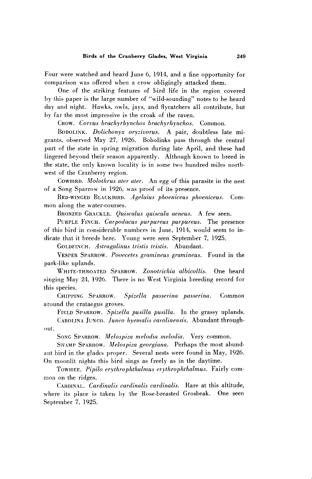**Four were watched and heard June 6, 1914, and a fine opportunity for comparison was offered when a crow obligingly attacked them.** 

**One of the striking features of bird life in the region covered by this paper is the large number of "wild-sounding" notes to be heard day and night. Hawks, owls, jays, and flycatchers all contribute, but by far the most impressive is the croak of the raven.** 

**CROW. Corvus bruchyrhynchos brachyrhynchos. Common.** 

**BOBOLINK. Dolichonyx oryzivorus. A pair, doubtless late mi**grants, observed May 27, 1926. Bobolinks pass through the central **part of the state in spring migration during late April, and these had lingered beyond their season apparently. Although known to breed in the state, the only known locality is in some two hundred miles northwest of the Cranberry region.** 

COWBIRD. Molothrus ater ater. An egg of this parasite in the nest **of a Song Sparrow in 1926, was proof of its presence.** 

**RED-WINGED BLACKBIRD. Agelaius phoeniceus phoeniceus. Common along the water-courses.** 

**BRONZED GRACKLE. Quiscalus quiscula aeneus. A few seen.** 

**PURPLE FINCH. Carpodacus purpureus purpureus. The presence of this bird in considerable numbers in June, 1914, would seem to indicate that it breeds here. Young were seen September 7, 1925.** 

**GOLDFINCH. Astragalinus tristis tristis. Abundant.** 

**VESPER SPARROW. Pooecetes gramineus gramineus. Found in the park-like uplands.** 

**WHITE-THROATED SPARROW. Zonotrichia albicollis. One heard singing May 24, 1926. There is no West Virginia breeding record for this species.** 

**CHIPPING SPARROW. Spizella passerina passerina. Common around the crataegus groves.** 

**FIELD SPARROW. Spizella pusilla pusilla. In the grassy uplands.** 

CAROLINA JUNCO. Junco hyemalis carolinensis. Abundant through**out.** 

**SONG SPARROW. Melospiza melodia melodia. Very common.** 

**SWAMP SPARROW. Melospiza georgiuna. Perhaps the most abundant bird in the glades proper. Several nests were found in May, 1926. On moonlit nights this bird sings as freely as in the daytime.** 

TOWHEE. Pipilo erythrophthalmus erythrophthalmus. Fairly com**mon on the ridges.** 

CARDINAL. *Cardinalis cardinalis cardinalis*. Rare at this altitude, **where its place is taken by the Rose-breasted Grosbeak. One seen September 7, 1925.**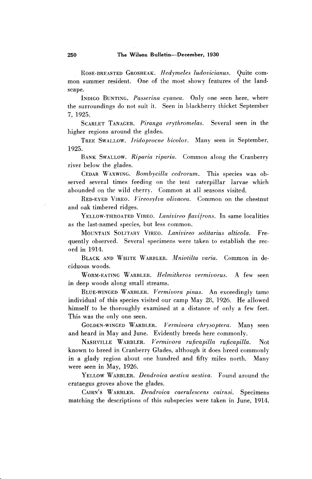ROSE-BREASTED GROSBEAK. Hedymeles ludovicianus. Ouite com**mon summer resident. One of the most showy features of the landscape.** 

**INDIGO BUNTING. Passerina cyanea. Only one seen here, where the surroundings do not suit it. Seen in blackberry thicket September 7, 1925.** 

**SCARLET TANAGER. Piranga erythromelas. Several seen in the higher regions around the glades.** 

**TREE SWALLOW. Iridoprocne hicolor. Many seen in September, 1925.** 

**BANK SWALLOW. Riparia riparia. Common along the Cranberry river below the glades.** 

**CEDAR WAXWING. Bombycilla cedrorum. This species was observed several times feeding on the tent caterpillar larvae which abounded on the wild cherry. Common at all seasons visited.** 

**RED-EYED VIREO. Vireosylva olivacea. Common on the chestnut and oak timbered ridges.** 

**YELLOW-THROATED VIREO. Lanivireo flavifrons. In same localities as the last-named species, but less common.** 

**MOUNTAIN SOLITARY VIREO. Lanivireo solitarius alticola. Frequently observed. Several specimens were taken to establish the record in 1914.** 

**BLACK AND WHITE WARRLER. Mniotilta varia. Common in deciduous woods.** 

**WORM-EATING WARBLER. Helmitheros vermivorus. A few seen in deep woods along small streams.** 

**BLUE-WINGED WARBLER. Vermivora pinus. An exceedingly tame individual of this species visited our camp May 28, 1926. He allowed himself to be thoroughly examined at a distance of only a few feet. This was the only one seen.** 

**GOLDEN-WINGED WARBLER. Vermivora chrysoptera. Manj seen and heard in May and June. Evidently breeds here commonly.** 

**NASHVILLE WARBLER. Vermivora ruficapilla ruficapilla. Not known to breed in Cranberry Glades, although it does breed commonly in a glady region about one hundred and fifty miles north. Many were seen in May, 1926.** 

**YELLOW WARBLER. Dendroica aestiva aestiva. Found around the crataegus groves above the glades.** 

**CAIRNS ' WARBLER. Dendroica caerulescens cairnsi. Specimens matching the descriptions of this subspecies were taken in June, 1914.**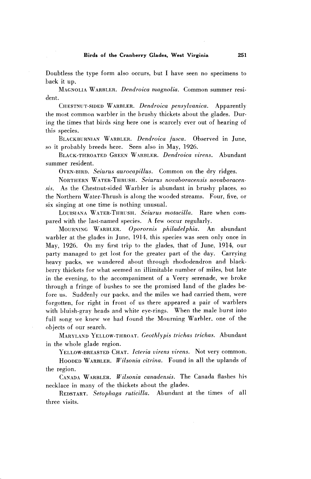**Doubtless the type form also occurs, but I have seen no specimens to back it up.** 

**MAGNOLIA WARBLER. Dendroica magnolia. Common summer resident.** 

**CHESTNUT-SIDED WARBLER. Dendroica pensylvanica. Apparently the most common warbler in the brushy thickets about the glades. During the times that birds sing here one is scarcely ever out of hearing of this species.** 

**BLACKBURNIAN WARBLER. Dendroica jusca. Observed in June, so it probably breeds here. Seen also in May, 1926.** 

BLACK-THROATED GREEN WARBLER. *Dendroica virens.* Abundant **summer resident.** 

**OVEN-BIRD.** *Seiurus aurocapillus.* Common on the dry ridges.

**NORTHERN WATER-THRUSH. Seiurus novaboracensis novaboracen. sis. As the Chestnut-sided Warbler is abundant in brushy places. so the Northern Water-Thrush is along the wooded streams. Four, five, or six singing at one time is nothing unusual.** 

LOUISIANA WATER-THRUSH. Seiurus motacilla. Rare when com**pared with the last-named species. A few occur regularly.** 

**MOURNING WARBLER. Oporornis Philadelphia. An abundant warbler at the glades in June, 1914, this species was seen only once in May, 1926. On my first trip to the glades, that of June, 1914, our party managed to get lost for the greater part of the day. Carrying heavy packs, we wandered about through rhododendron and blackberry thickets for what seemed an illimitable number of miles, but late in the evening, to the accompaniment of a Veery serenade, we broke through a fringe of bushes to see the promised land of the glades before us. Suddenly our packs. and the miles we had carried them, were forgotten, for right in front of us there appeared a pair of warblers with bluish-gray heads and white eye-rings. When the male burst into full song we knew we had found the Mourning Warhler. one of the objects of our search.** 

**MARYLAND YELLOW-THROAT. Geothlypis trichas trichas. Abundant in the whole glade region.** 

**YELLOW-BRE.4STED CHAT. Icteria virens virens. Not very common.** 

HOODED WARBLER. *Wilsonia citrina*. Found in all the uplands of **the region.** 

**CANADA W.4RBLER. Wilsonia canadensis. The Canada flashes his necklace in many of the thickets about the glades.** 

**REDSTART. Setophaga ruticilla. Abundant at the times of all three visits.**